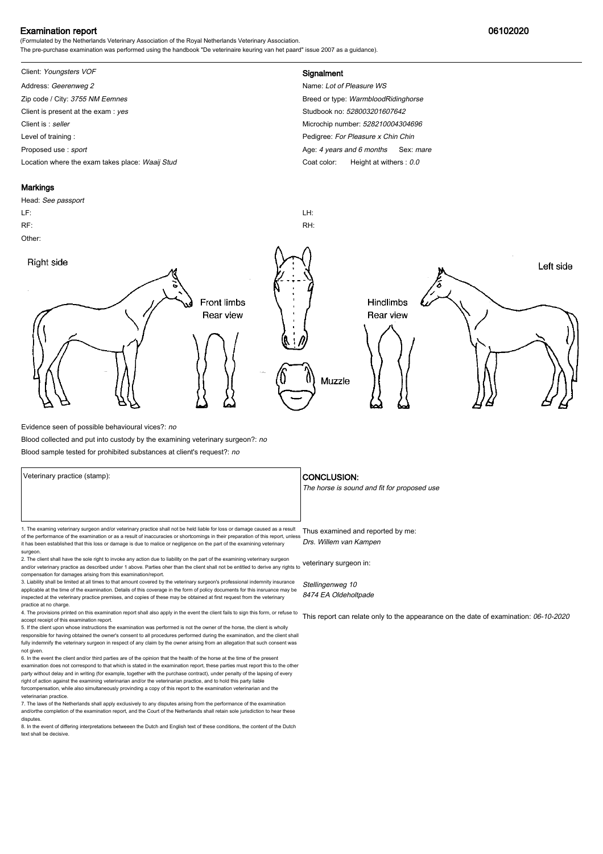## Examination report 06102020

(Formulated by the Netherlands Veterinary Association of the Royal Netherlands Veterinary Association. The pre-purchase examination was performed using the handbook "De veterinaire keuring van het paard" issue 2007 as a guidance).

## Client: Youngsters VOF **Signalment**

Address: Geerenweg 2 Name: Lot of Pleasure WS Zip code / City: 3755 NM Eemnes Breed or type: WarmbloodRidinghorse Breed or type: WarmbloodRidinghorse Client is present at the exam : yes Studbook no: 528003201607642 Client is : seller Microchip number: 528210004304696 Level of training : Level of training : Level of training : Proposed use : sport **Age: 4** years and 6 months Sex: mare Location where the exam takes place: Waaij Stud Coat Color: Height at withers : 0.0

### **Markings**

surgeon.

Head: See passport LF: LH: RF: RH: Other: Right side Left side **Front limbs** Hindlimbs Rear view Rear view Muzzle

Evidence seen of possible behavioural vices?: no

Blood collected and put into custody by the examining veterinary surgeon?: no

Blood sample tested for prohibited substances at client's request?: no

1. The examing veterinary surgeon and/or veterinary practice shall not be held liable for loss or damage caused as a result Thus examined and reported by me: of the performance of the examination or as a result of inaccuracies or shortcomings in their preparation of this report, unless it has been established that this loss or damage is due to malice or negligence on the part of the examining veterinary

2. The client shall have the sole right to invoke any action due to liability on the part of the examining veterinary surgeon and/or veterinary practice as described under 1 above. Parties oher than the client shall not be entitled to derive any rights to veterinary surgeon in: compensation for damages arising from this examination/report.

3. Liability shall be limited at all times to that amount covered by the veterinary surgeon's professional indemnity insurance applicable at the time of the examination. Details of this coverage in the form of policy documents for this insruance may be inspected at the veterinary practice premises, and copies of these may be obtained at first request from the veterinary practice at no charge.

4. The provisions printed on this examination report shall also apply in the event the client fails to sign this form, or refuse to accept receipt of this examination report.

5. If the client upon whose instructions the examination was performed is not the owner of the horse, the client is wholly responsible for having obtained the owner's consent to all procedures performed during the examination, and the client shall fully indemnify the veterinary surgeon in respect of any claim by the owner arising from an allegation that such consent was not given.

6. In the event the client and/or third parties are of the opinion that the health of the horse at the time of the present examination does not correspond to that which is stated in the examination report, these parties must report this to the other party without delay and in writing (for example, together with the purchase contract), under penalty of the lapsing of every<br>right of action against the examining veterinarian and/or the veterinarian practice, and to hold forcompensation, while also simultaneously provinding a copy of this report to the examination veterinarian and th veterinarian practice.

7. The laws of the Netherlands shall apply exclusively to any disputes arising from the performance of the examination and/orthe completion of the examination report, and the Court of the Netherlands shall retain sole jurisdiction to hear these disputes.

8. In the event of differing interpretations betweeen the Dutch and English text of these conditions, the content of the Dutch text shall be decisive.

### Veterinary practice (stamp):  $\overline{\phantom{a}}$  CONCLUSION:

The horse is sound and fit for proposed use

Drs. Willem van Kampen

Stellingenweg 10 8474 EA Oldeholtpade

This report can relate only to the appearance on the date of examination: 06-10-2020